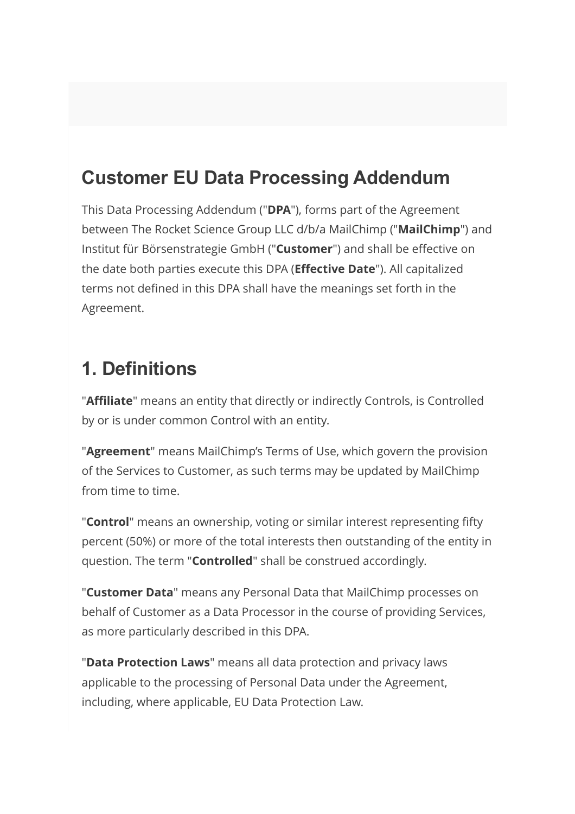#### Customer EU Data Processing Addendum

This Data Processing Addendum ("DPA"), forms part of the Agreement between The Rocket Science Group LLC d/b/a MailChimp ("MailChimp") and Institut für Börsenstrategie GmbH ("Customer") and shall be effective on the date both parties execute this DPA (Effective Date"). All capitalized terms not defined in this DPA shall have the meanings set forth in the Agreement.

#### 1. Definitions

"**Affiliate**" means an entity that directly or indirectly Controls, is Controlled by or is under common Control with an entity.

"**Agreement**" means MailChimp's Terms of Use, which govern the provision of the Services to Customer, as such terms may be updated by MailChimp from time to time.

"Control" means an ownership, voting or similar interest representing fifty percent (50%) or more of the total interests then outstanding of the entity in question. The term "Controlled" shall be construed accordingly.

"Customer Data" means any Personal Data that MailChimp processes on behalf of Customer as a Data Processor in the course of providing Services, as more particularly described in this DPA.

"Data Protection Laws" means all data protection and privacy laws applicable to the processing of Personal Data under the Agreement, including, where applicable, EU Data Protection Law.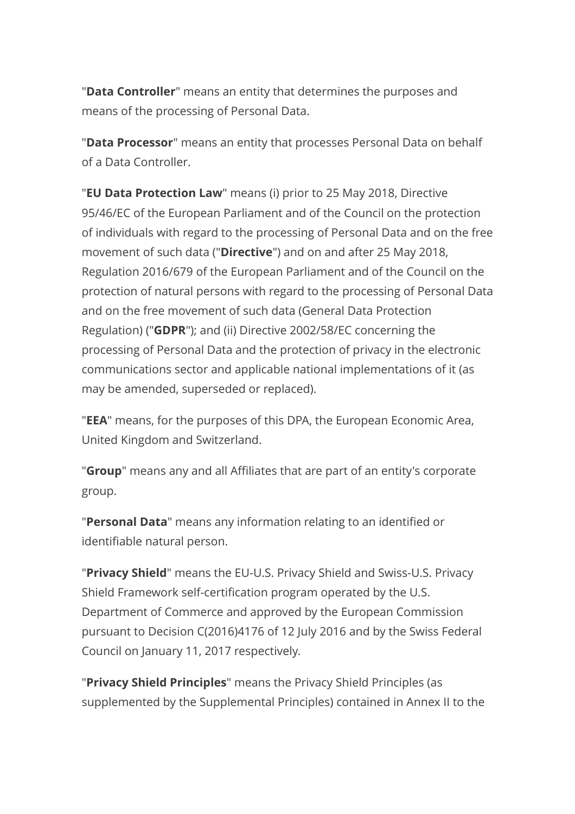"Data Controller" means an entity that determines the purposes and means of the processing of Personal Data.

"Data Processor" means an entity that processes Personal Data on behalf of a Data Controller.

"**EU Data Protection Law**" means (i) prior to 25 May 2018, Directive 95/46/EC of the European Parliament and of the Council on the protection of individuals with regard to the processing of Personal Data and on the free movement of such data ("**Directive**") and on and after 25 May 2018, Regulation 2016/679 of the European Parliament and of the Council on the protection of natural persons with regard to the processing of Personal Data and on the free movement of such data (General Data Protection Regulation) ("GDPR"); and (ii) Directive 2002/58/EC concerning the processing of Personal Data and the protection of privacy in the electronic communications sector and applicable national implementations of it (as may be amended, superseded or replaced).

"EEA" means, for the purposes of this DPA, the European Economic Area, United Kingdom and Switzerland.

"**Group**" means any and all Affiliates that are part of an entity's corporate group.

"Personal Data" means any information relating to an identified or identifiable natural person.

"Privacy Shield" means the EU-U.S. Privacy Shield and Swiss-U.S. Privacy Shield Framework self-certification program operated by the U.S. Department of Commerce and approved by the European Commission pursuant to Decision C(2016)4176 of 12 July 2016 and by the Swiss Federal Council on January 11, 2017 respectively.

"Privacy Shield Principles" means the Privacy Shield Principles (as supplemented by the Supplemental Principles) contained in Annex II to the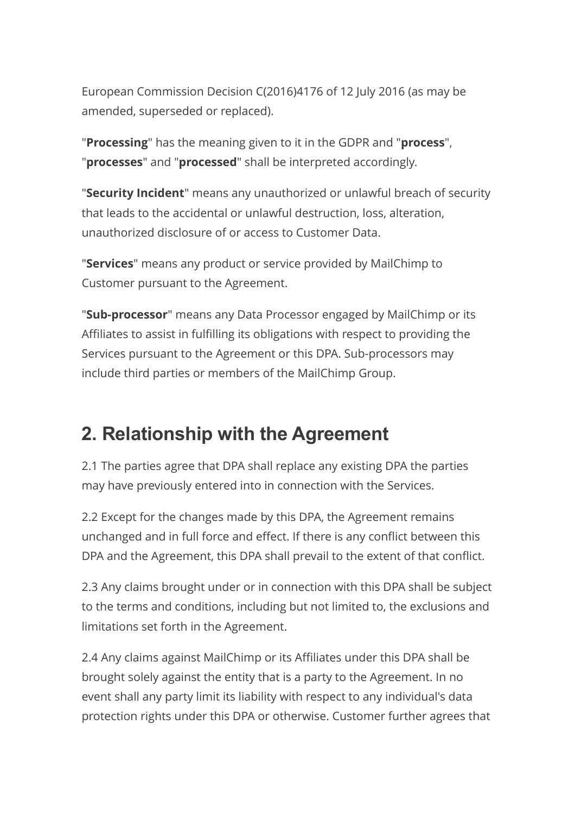European Commission Decision C(2016)4176 of 12 July 2016 (as may be amended, superseded or replaced).

"Processing" has the meaning given to it in the GDPR and "process", "**processes**" and "**processed**" shall be interpreted accordingly.

"Security Incident" means any unauthorized or unlawful breach of security that leads to the accidental or unlawful destruction, loss, alteration, unauthorized disclosure of or access to Customer Data.

"Services" means any product or service provided by MailChimp to Customer pursuant to the Agreement.

"Sub-processor" means any Data Processor engaged by MailChimp or its Affiliates to assist in fulfilling its obligations with respect to providing the Services pursuant to the Agreement or this DPA. Sub-processors may include third parties or members of the MailChimp Group.

#### 2. Relationship with the Agreement

2.1 The parties agree that DPA shall replace any existing DPA the parties may have previously entered into in connection with the Services.

2.2 Except for the changes made by this DPA, the Agreement remains unchanged and in full force and effect. If there is any conflict between this DPA and the Agreement, this DPA shall prevail to the extent of that conflict.

2.3 Any claims brought under or in connection with this DPA shall be subject to the terms and conditions, including but not limited to, the exclusions and limitations set forth in the Agreement.

2.4 Any claims against MailChimp or its Affiliates under this DPA shall be brought solely against the entity that is a party to the Agreement. In no event shall any party limit its liability with respect to any individual's data protection rights under this DPA or otherwise. Customer further agrees that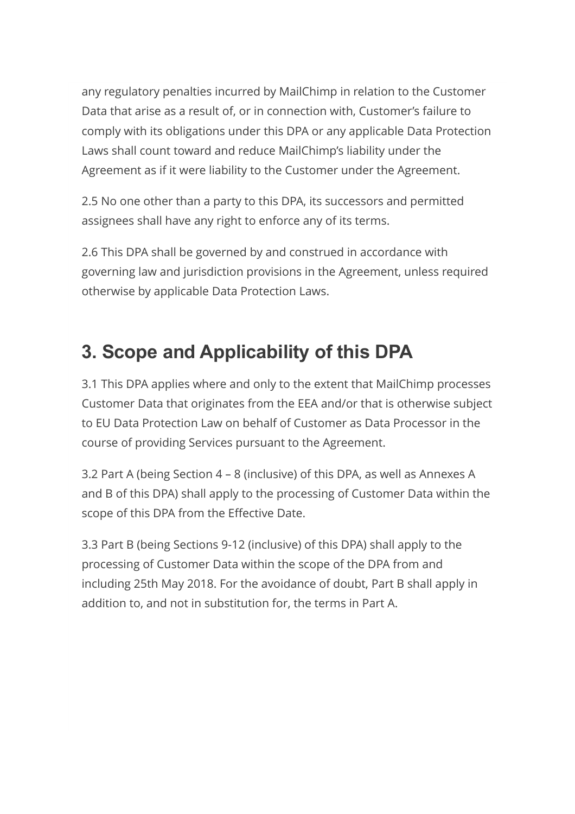any regulatory penalties incurred by MailChimp in relation to the Customer Data that arise as a result of, or in connection with, Customer's failure to comply with its obligations under this DPA or any applicable Data Protection Laws shall count toward and reduce MailChimp's liability under the Agreement as if it were liability to the Customer under the Agreement.

2.5 No one other than a party to this DPA, its successors and permitted assignees shall have any right to enforce any of its terms.

2.6 This DPA shall be governed by and construed in accordance with governing law and jurisdiction provisions in the Agreement, unless required otherwise by applicable Data Protection Laws.

## 3. Scope and Applicability of this DPA

3.1 This DPA applies where and only to the extent that MailChimp processes Customer Data that originates from the EEA and/or that is otherwise subject to EU Data Protection Law on behalf of Customer as Data Processor in the course of providing Services pursuant to the Agreement.

3.2 Part A (being Section 4 – 8 (inclusive) of this DPA, as well as Annexes A and B of this DPA) shall apply to the processing of Customer Data within the scope of this DPA from the Effective Date.

3.3 Part B (being Sections 9-12 (inclusive) of this DPA) shall apply to the processing of Customer Data within the scope of the DPA from and including 25th May 2018. For the avoidance of doubt, Part B shall apply in addition to, and not in substitution for, the terms in Part A.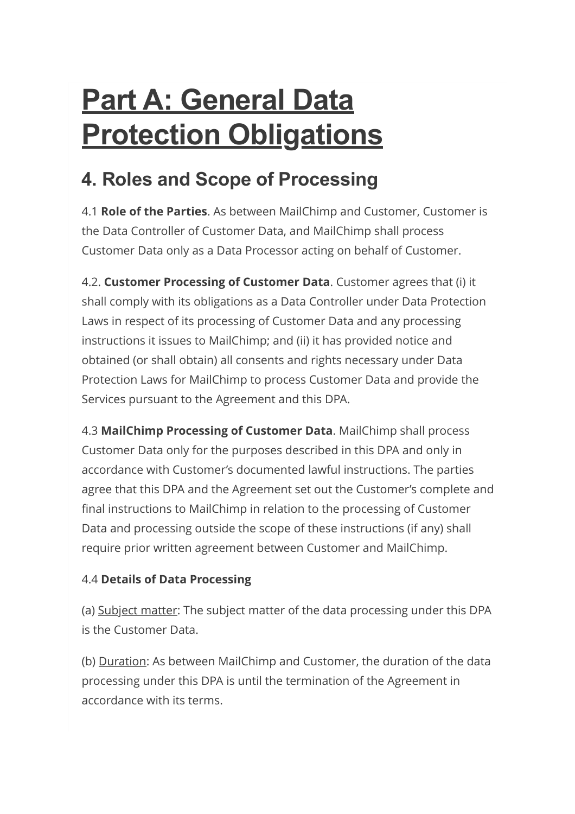# Part A: General Data **Protection Obligations**

## 4. Roles and Scope of Processing

4.1 Role of the Parties. As between MailChimp and Customer, Customer is the Data Controller of Customer Data, and MailChimp shall process Customer Data only as a Data Processor acting on behalf of Customer.

4.2. Customer Processing of Customer Data. Customer agrees that (i) it shall comply with its obligations as a Data Controller under Data Protection Laws in respect of its processing of Customer Data and any processing instructions it issues to MailChimp; and (ii) it has provided notice and obtained (or shall obtain) all consents and rights necessary under Data Protection Laws for MailChimp to process Customer Data and provide the Services pursuant to the Agreement and this DPA.

4.3 MailChimp Processing of Customer Data. MailChimp shall process Customer Data only for the purposes described in this DPA and only in accordance with Customer's documented lawful instructions. The parties agree that this DPA and the Agreement set out the Customer's complete and final instructions to MailChimp in relation to the processing of Customer Data and processing outside the scope of these instructions (if any) shall require prior written agreement between Customer and MailChimp.

#### 4.4 Details of Data Processing

(a) Subject matter: The subject matter of the data processing under this DPA is the Customer Data.

(b) Duration: As between MailChimp and Customer, the duration of the data processing under this DPA is until the termination of the Agreement in accordance with its terms.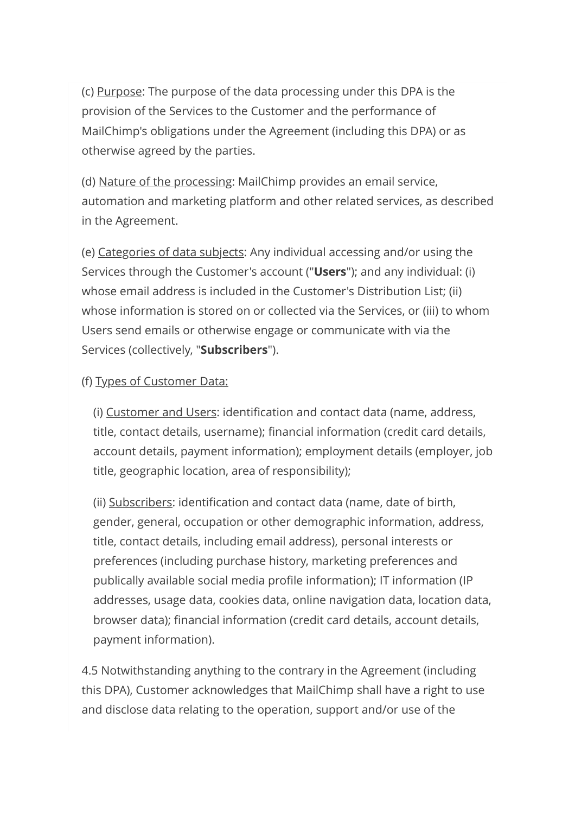(c) Purpose: The purpose of the data processing under this DPA is the provision of the Services to the Customer and the performance of MailChimp's obligations under the Agreement (including this DPA) or as otherwise agreed by the parties.

(d) Nature of the processing: MailChimp provides an email service, automation and marketing platform and other related services, as described in the Agreement.

(e) Categories of data subjects: Any individual accessing and/or using the Services through the Customer's account ("Users"); and any individual: (i) whose email address is included in the Customer's Distribution List; (ii) whose information is stored on or collected via the Services, or (iii) to whom Users send emails or otherwise engage or communicate with via the Services (collectively, "Subscribers").

#### (f) Types of Customer Data:

(i) Customer and Users: identification and contact data (name, address, title, contact details, username); financial information (credit card details, account details, payment information); employment details (employer, job title, geographic location, area of responsibility);

(ii) Subscribers: identification and contact data (name, date of birth, gender, general, occupation or other demographic information, address, title, contact details, including email address), personal interests or preferences (including purchase history, marketing preferences and publically available social media profile information); IT information (IP addresses, usage data, cookies data, online navigation data, location data, browser data); financial information (credit card details, account details, payment information).

4.5 Notwithstanding anything to the contrary in the Agreement (including this DPA), Customer acknowledges that MailChimp shall have a right to use and disclose data relating to the operation, support and/or use of the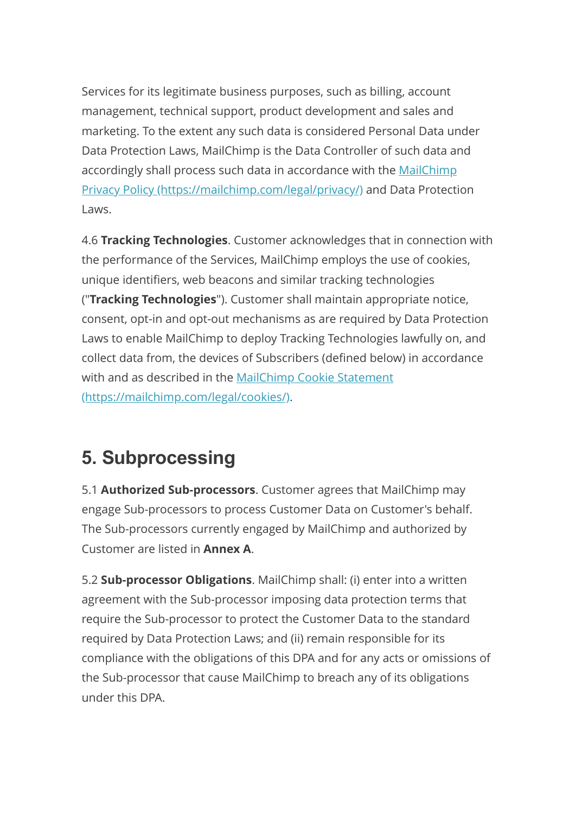Services for its legitimate business purposes, such as billing, account management, technical support, product development and sales and marketing. To the extent any such data is considered Personal Data under Data Protection Laws, MailChimp is the Data Controller of such data and accordingly shall process such data in accordance with the MailChimp [Privacy Policy \(https://mailchimp.com/legal/privacy/\) and Data Protecti](https://mailchimp.com/legal/privacy/)on Laws.

4.6 Tracking Technologies. Customer acknowledges that in connection with the performance of the Services, MailChimp employs the use of cookies, unique identifiers, web beacons and similar tracking technologies ("Tracking Technologies"). Customer shall maintain appropriate notice, consent, opt-in and opt-out mechanisms as are required by Data Protection Laws to enable MailChimp to deploy Tracking Technologies lawfully on, and collect data from, the devices of Subscribers (defined below) in accordance [with and as described in the MailChimp Cookie Statement](https://mailchimp.com/legal/cookies/) (https://mailchimp.com/legal/cookies/).

#### 5. Subprocessing

5.1 **Authorized Sub-processors**. Customer agrees that MailChimp may engage Sub-processors to process Customer Data on Customer's behalf. The Sub-processors currently engaged by MailChimp and authorized by Customer are listed in Annex A.

5.2 Sub-processor Obligations. MailChimp shall: (i) enter into a written agreement with the Sub-processor imposing data protection terms that require the Sub-processor to protect the Customer Data to the standard required by Data Protection Laws; and (ii) remain responsible for its compliance with the obligations of this DPA and for any acts or omissions of the Sub-processor that cause MailChimp to breach any of its obligations under this DPA.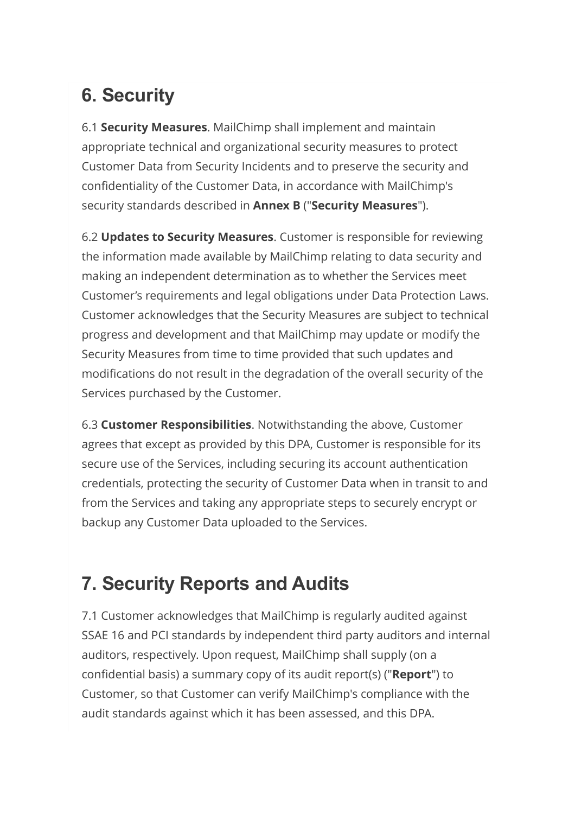## 6. Security

6.1 Security Measures. MailChimp shall implement and maintain appropriate technical and organizational security measures to protect Customer Data from Security Incidents and to preserve the security and confidentiality of the Customer Data, in accordance with MailChimp's security standards described in **Annex B** ("Security Measures").

6.2 Updates to Security Measures. Customer is responsible for reviewing the information made available by MailChimp relating to data security and making an independent determination as to whether the Services meet Customer's requirements and legal obligations under Data Protection Laws. Customer acknowledges that the Security Measures are subject to technical progress and development and that MailChimp may update or modify the Security Measures from time to time provided that such updates and modifications do not result in the degradation of the overall security of the Services purchased by the Customer.

6.3 Customer Responsibilities. Notwithstanding the above, Customer agrees that except as provided by this DPA, Customer is responsible for its secure use of the Services, including securing its account authentication credentials, protecting the security of Customer Data when in transit to and from the Services and taking any appropriate steps to securely encrypt or backup any Customer Data uploaded to the Services.

#### 7. Security Reports and Audits

7.1 Customer acknowledges that MailChimp is regularly audited against SSAE 16 and PCI standards by independent third party auditors and internal auditors, respectively. Upon request, MailChimp shall supply (on a confidential basis) a summary copy of its audit report(s) ("**Report**") to Customer, so that Customer can verify MailChimp's compliance with the audit standards against which it has been assessed, and this DPA.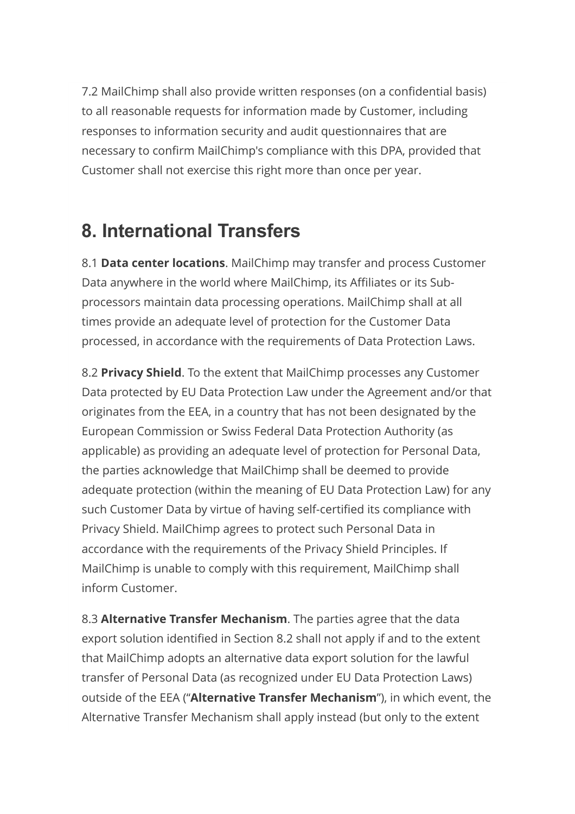7.2 MailChimp shall also provide written responses (on a confidential basis) to all reasonable requests for information made by Customer, including responses to information security and audit questionnaires that are necessary to confirm MailChimp's compliance with this DPA, provided that Customer shall not exercise this right more than once per year.

#### 8. International Transfers

8.1 Data center locations. MailChimp may transfer and process Customer Data anywhere in the world where MailChimp, its Affiliates or its Subprocessors maintain data processing operations. MailChimp shall at all times provide an adequate level of protection for the Customer Data processed, in accordance with the requirements of Data Protection Laws.

8.2 **Privacy Shield**. To the extent that MailChimp processes any Customer Data protected by EU Data Protection Law under the Agreement and/or that originates from the EEA, in a country that has not been designated by the European Commission or Swiss Federal Data Protection Authority (as applicable) as providing an adequate level of protection for Personal Data, the parties acknowledge that MailChimp shall be deemed to provide adequate protection (within the meaning of EU Data Protection Law) for any such Customer Data by virtue of having self-certified its compliance with Privacy Shield. MailChimp agrees to protect such Personal Data in accordance with the requirements of the Privacy Shield Principles. If MailChimp is unable to comply with this requirement, MailChimp shall inform Customer.

8.3 Alternative Transfer Mechanism. The parties agree that the data export solution identified in Section 8.2 shall not apply if and to the extent that MailChimp adopts an alternative data export solution for the lawful transfer of Personal Data (as recognized under EU Data Protection Laws) outside of the EEA ("Alternative Transfer Mechanism"), in which event, the Alternative Transfer Mechanism shall apply instead (but only to the extent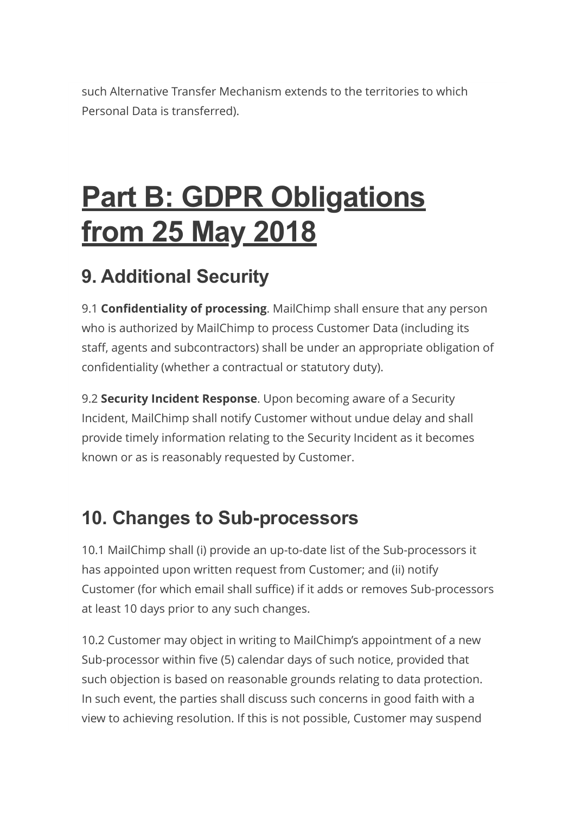such Alternative Transfer Mechanism extends to the territories to which Personal Data is transferred).

# Part B: GDPR Obligations from 25 May 2018

## 9. Additional Security

9.1 **Confidentiality of processing**. MailChimp shall ensure that any person who is authorized by MailChimp to process Customer Data (including its staff, agents and subcontractors) shall be under an appropriate obligation of confidentiality (whether a contractual or statutory duty).

9.2 Security Incident Response. Upon becoming aware of a Security Incident, MailChimp shall notify Customer without undue delay and shall provide timely information relating to the Security Incident as it becomes known or as is reasonably requested by Customer.

#### 10. Changes to Sub-processors

10.1 MailChimp shall (i) provide an up-to-date list of the Sub-processors it has appointed upon written request from Customer; and (ii) notify Customer (for which email shall suffice) if it adds or removes Sub-processors at least 10 days prior to any such changes.

10.2 Customer may object in writing to MailChimp's appointment of a new Sub-processor within five (5) calendar days of such notice, provided that such objection is based on reasonable grounds relating to data protection. In such event, the parties shall discuss such concerns in good faith with a view to achieving resolution. If this is not possible, Customer may suspend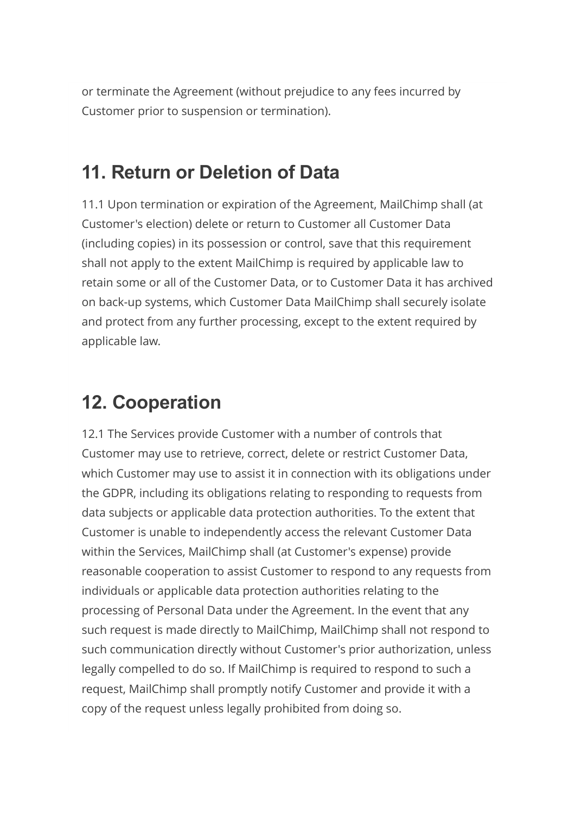or terminate the Agreement (without prejudice to any fees incurred by Customer prior to suspension or termination).

#### 11. Return or Deletion of Data

11.1 Upon termination or expiration of the Agreement, MailChimp shall (at Customer's election) delete or return to Customer all Customer Data (including copies) in its possession or control, save that this requirement shall not apply to the extent MailChimp is required by applicable law to retain some or all of the Customer Data, or to Customer Data it has archived on back-up systems, which Customer Data MailChimp shall securely isolate and protect from any further processing, except to the extent required by applicable law.

#### 12. Cooperation

12.1 The Services provide Customer with a number of controls that Customer may use to retrieve, correct, delete or restrict Customer Data, which Customer may use to assist it in connection with its obligations under the GDPR, including its obligations relating to responding to requests from data subjects or applicable data protection authorities. To the extent that Customer is unable to independently access the relevant Customer Data within the Services, MailChimp shall (at Customer's expense) provide reasonable cooperation to assist Customer to respond to any requests from individuals or applicable data protection authorities relating to the processing of Personal Data under the Agreement. In the event that any such request is made directly to MailChimp, MailChimp shall not respond to such communication directly without Customer's prior authorization, unless legally compelled to do so. If MailChimp is required to respond to such a request, MailChimp shall promptly notify Customer and provide it with a copy of the request unless legally prohibited from doing so.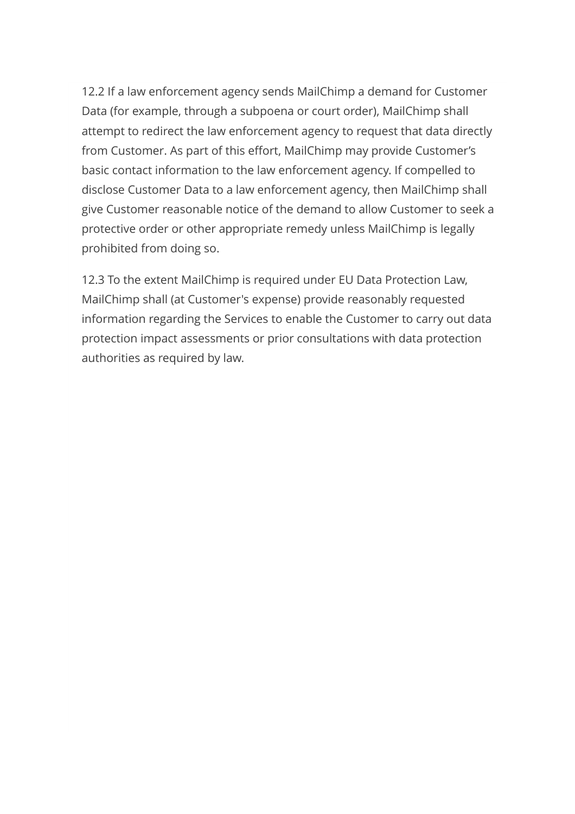12.2 If a law enforcement agency sends MailChimp a demand for Customer Data (for example, through a subpoena or court order), MailChimp shall attempt to redirect the law enforcement agency to request that data directly from Customer. As part of this effort, MailChimp may provide Customer's basic contact information to the law enforcement agency. If compelled to disclose Customer Data to a law enforcement agency, then MailChimp shall give Customer reasonable notice of the demand to allow Customer to seek a protective order or other appropriate remedy unless MailChimp is legally prohibited from doing so.

12.3 To the extent MailChimp is required under EU Data Protection Law, MailChimp shall (at Customer's expense) provide reasonably requested information regarding the Services to enable the Customer to carry out data protection impact assessments or prior consultations with data protection authorities as required by law.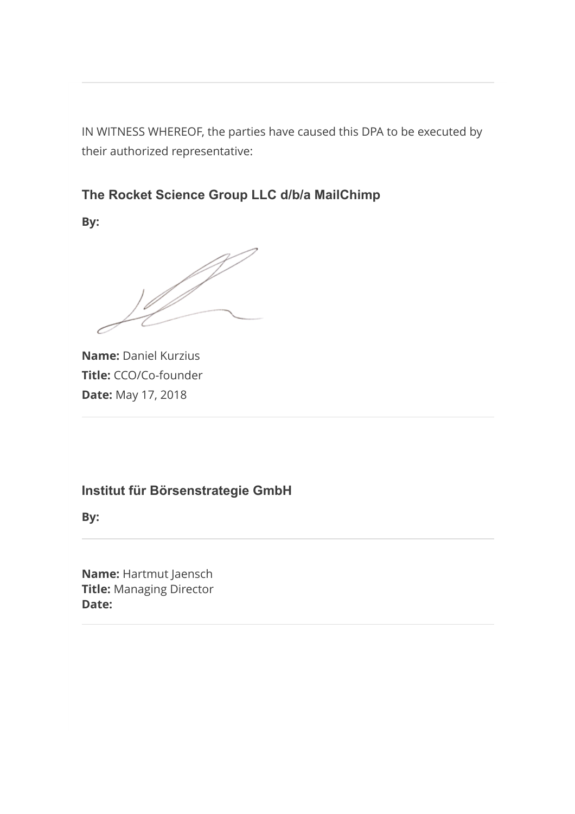IN WITNESS WHEREOF, the parties have caused this DPA to be executed by their authorized representative:

The Rocket Science Group LLC d/b/a MailChimp

By:

| D

Name: Daniel Kurzius Title: CCO/Co-founder **Date: May 17, 2018** 

#### Institut für Börsenstrategie GmbH

By:

Name: Hartmut Jaensch **Title: Managing Director** Date: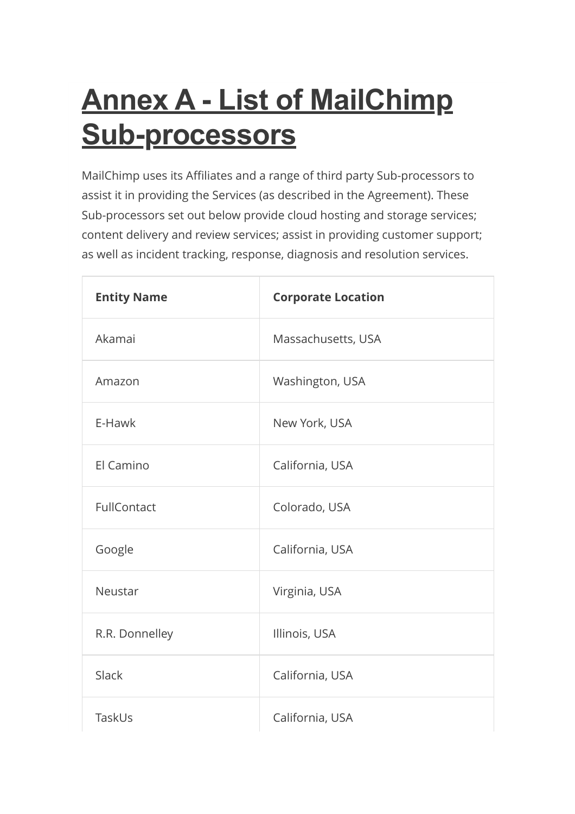# **Annex A - List of MailChimp** Sub-processors

MailChimp uses its Affiliates and a range of third party Sub-processors to assist it in providing the Services (as described in the Agreement). These Sub-processors set out below provide cloud hosting and storage services; content delivery and review services; assist in providing customer support; as well as incident tracking, response, diagnosis and resolution services.

| <b>Entity Name</b> | <b>Corporate Location</b> |
|--------------------|---------------------------|
| Akamai             | Massachusetts, USA        |
| Amazon             | Washington, USA           |
| E-Hawk             | New York, USA             |
| El Camino          | California, USA           |
| FullContact        | Colorado, USA             |
| Google             | California, USA           |
| Neustar            | Virginia, USA             |
| R.R. Donnelley     | Illinois, USA             |
| <b>Slack</b>       | California, USA           |
| TaskUs             | California, USA           |